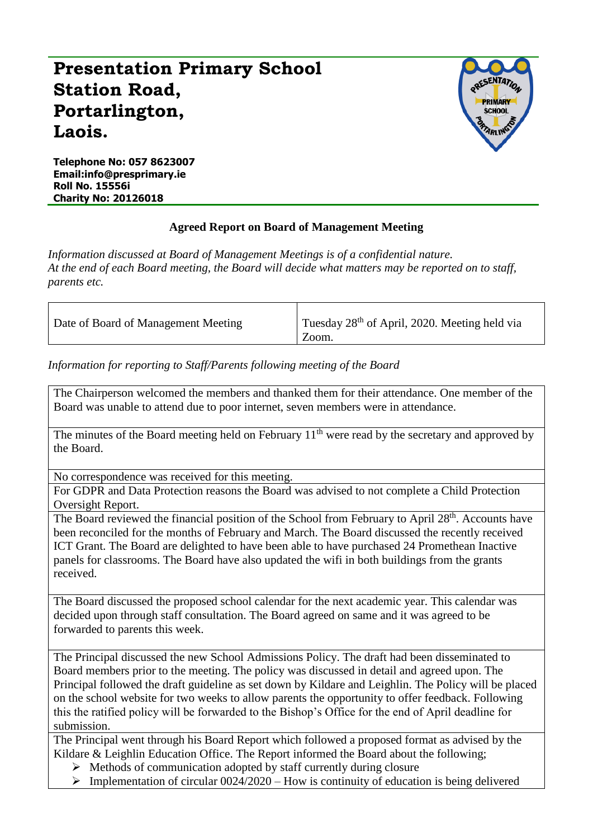## **Presentation Primary School Station Road, Portarlington, Laois.**



**Telephone No: 057 8623007 Email:info@presprimary.ie Roll No. 15556i Charity No: 20126018**

## **Agreed Report on Board of Management Meeting**

*Information discussed at Board of Management Meetings is of a confidential nature. At the end of each Board meeting, the Board will decide what matters may be reported on to staff, parents etc.*

| Date of Board of Management Meeting | Tuesday 28 <sup>th</sup> of April, 2020. Meeting held via |
|-------------------------------------|-----------------------------------------------------------|
|                                     | Zoom.                                                     |

*Information for reporting to Staff/Parents following meeting of the Board*

The Chairperson welcomed the members and thanked them for their attendance. One member of the Board was unable to attend due to poor internet, seven members were in attendance.

The minutes of the Board meeting held on February  $11<sup>th</sup>$  were read by the secretary and approved by the Board.

No correspondence was received for this meeting.

For GDPR and Data Protection reasons the Board was advised to not complete a Child Protection Oversight Report.

The Board reviewed the financial position of the School from February to April 28<sup>th</sup>. Accounts have been reconciled for the months of February and March. The Board discussed the recently received ICT Grant. The Board are delighted to have been able to have purchased 24 Promethean Inactive panels for classrooms. The Board have also updated the wifi in both buildings from the grants received.

The Board discussed the proposed school calendar for the next academic year. This calendar was decided upon through staff consultation. The Board agreed on same and it was agreed to be forwarded to parents this week.

The Principal discussed the new School Admissions Policy. The draft had been disseminated to Board members prior to the meeting. The policy was discussed in detail and agreed upon. The Principal followed the draft guideline as set down by Kildare and Leighlin. The Policy will be placed on the school website for two weeks to allow parents the opportunity to offer feedback. Following this the ratified policy will be forwarded to the Bishop's Office for the end of April deadline for submission.

The Principal went through his Board Report which followed a proposed format as advised by the Kildare & Leighlin Education Office. The Report informed the Board about the following;

- $\triangleright$  Methods of communication adopted by staff currently during closure
- $\triangleright$  Implementation of circular 0024/2020 How is continuity of education is being delivered